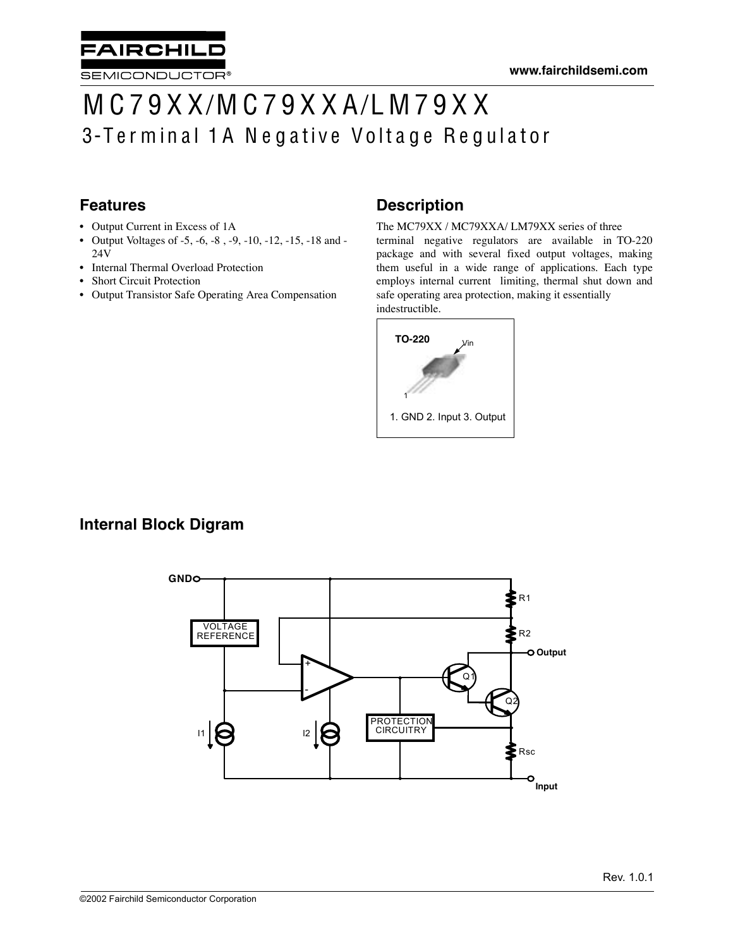# M C 7 9 X X/M C 7 9 X X A/L M 7 9 X X 3-Terminal 1A Negative Voltage Regulator

### **Features**

• Output Current in Excess of 1A

**AIRCHILL** 

SEMICONDUCTOR®

- Output Voltages of -5, -6, -8 , -9, -10, -12, -15, -18 and 24V
- Internal Thermal Overload Protection
- **Short Circuit Protection**
- Output Transistor Safe Operating Area Compensation

### **Description**

The MC79XX / MC79XXA/ LM79XX series of three terminal negative regulators are available in TO-220 package and with several fixed output voltages, making them useful in a wide range of applications. Each type employs internal current limiting, thermal shut down and safe operating area protection, making it essentially indestructible.



### **Internal Block Digram**

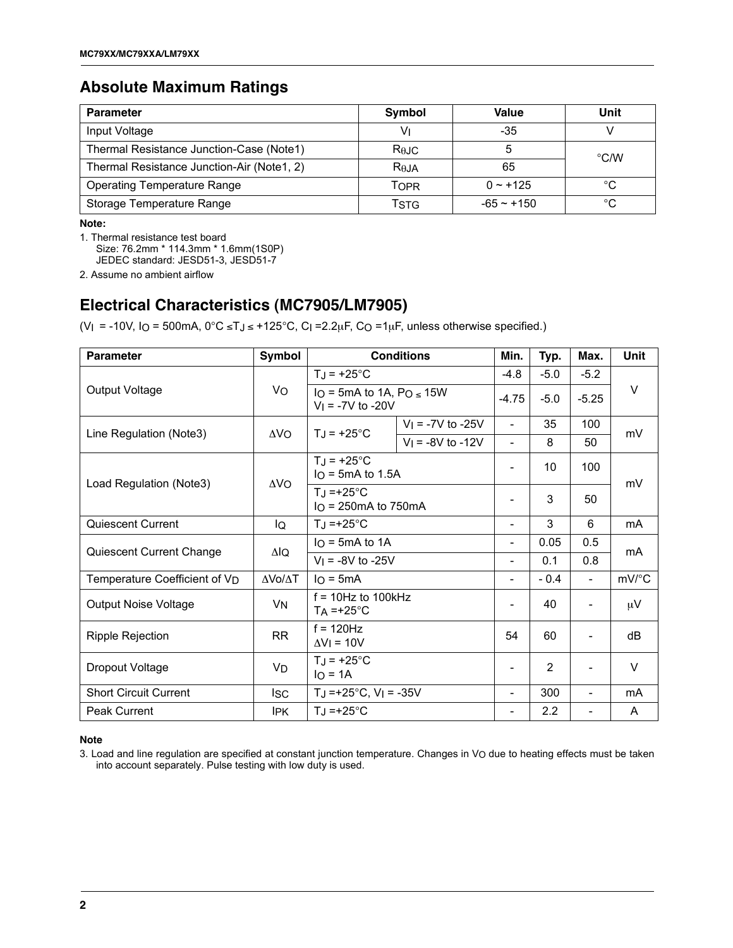### **Absolute Maximum Ratings**

| <b>Parameter</b>                           | Symbol            | Value         | Unit          |
|--------------------------------------------|-------------------|---------------|---------------|
| Input Voltage                              | V١                | -35           |               |
| Thermal Resistance Junction-Case (Note1)   | Rejc              | 5             | $\degree$ C/W |
| Thermal Resistance Junction-Air (Note1, 2) | R <sub>0</sub> JA | 65            |               |
| <b>Operating Temperature Range</b>         | Topr              | $0 \sim +125$ | °C            |
| Storage Temperature Range                  | <b>TSTG</b>       | $-65 - +150$  | °C            |

**Note:**

1. Thermal resistance test board

Size: 76.2mm \* 114.3mm \* 1.6mm(1S0P)

JEDEC standard: JESD51-3, JESD51-7

2. Assume no ambient airflow

### **Electrical Characteristics (MC7905/LM7905)**

(V<sub>I</sub> = -10V, I<sub>O</sub> = 500mA,  $0^{\circ}$ C ≤TJ ≤ +125°C, C<sub>I</sub> =2.2µF, C<sub>O</sub> =1µF, unless otherwise specified.)

| <b>Parameter</b>              | Symbol          |                                                                                           | <b>Conditions</b>       | Min.                     | Typ.           | Max.                     | <b>Unit</b>    |  |
|-------------------------------|-----------------|-------------------------------------------------------------------------------------------|-------------------------|--------------------------|----------------|--------------------------|----------------|--|
|                               |                 | $TJ = +25^{\circ}C$                                                                       |                         | $-4.8$                   | $-5.0$         | $-5.2$                   |                |  |
| Output Voltage                | Vo              | I <sub>O</sub> = 5mA to 1A, P <sub>O <math>\leq</math></sub> 15W<br>$V_1 = -7V$ to $-20V$ |                         | $-4.75$                  | $-5.0$         | $-5.25$                  | V              |  |
| Line Regulation (Note3)       | ΔV <sub>O</sub> | $T_J = +25^{\circ}C$                                                                      | $V_1 = -7V$ to $-25V$   | $\overline{\phantom{0}}$ | 35             | 100                      | mV             |  |
|                               |                 |                                                                                           | $V_1 = -8V$ to $-12V$   | $\overline{\phantom{a}}$ | 8              | 50                       |                |  |
| Load Regulation (Note3)       | $\Delta$ VO     | $T_J = +25^{\circ}C$<br>$IO$ = 5mA to 1.5A                                                |                         | Ξ.                       | 10             | 100                      | mV             |  |
|                               |                 | $T_J = +25^{\circ}C$                                                                      | $IO$ = 250 mA to 750 mA |                          | 3              | 50                       |                |  |
| <b>Quiescent Current</b>      | lQ              | $T_J = +25^{\circ}C$                                                                      |                         | $\overline{\phantom{0}}$ | 3              | 6                        | m <sub>A</sub> |  |
|                               | ΔlQ             | $I_O = 5mA$ to 1A                                                                         |                         | ۰                        | 0.05           | 0.5                      | m <sub>A</sub> |  |
| Quiescent Current Change      |                 | $V_1 = -8V$ to $-25V$                                                                     |                         | $\overline{\phantom{0}}$ | 0.1            | 0.8                      |                |  |
| Temperature Coefficient of VD | ΔVο/ΔΤ          | $I_O = 5mA$                                                                               |                         | $\overline{\phantom{0}}$ | $-0.4$         | $\overline{\phantom{0}}$ | mV/°C          |  |
| <b>Output Noise Voltage</b>   | VN              | $f = 10$ Hz to 100kHz<br>$TA = +25^{\circ}C$                                              |                         | ٠                        | 40             | $\overline{\phantom{0}}$ | μV             |  |
| Ripple Rejection              | <b>RR</b>       | $f = 120$ Hz<br>$\Delta V$ = 10V                                                          |                         | 54                       | 60             |                          | dB             |  |
| Dropout Voltage               | VD              | $T_J = +25^{\circ}C$<br>$IO = 1A$                                                         |                         |                          | $\overline{2}$ |                          | $\vee$         |  |
| <b>Short Circuit Current</b>  | lsc             | TJ = +25 $^{\circ}$ C, V <sub>I</sub> = -35V                                              |                         | -                        | 300            | ۰                        | mA             |  |
| <b>Peak Current</b>           | IPK.            | $T_{\rm J}$ =+25°C                                                                        |                         | $\overline{\phantom{0}}$ | 2.2            |                          | A              |  |

#### **Note**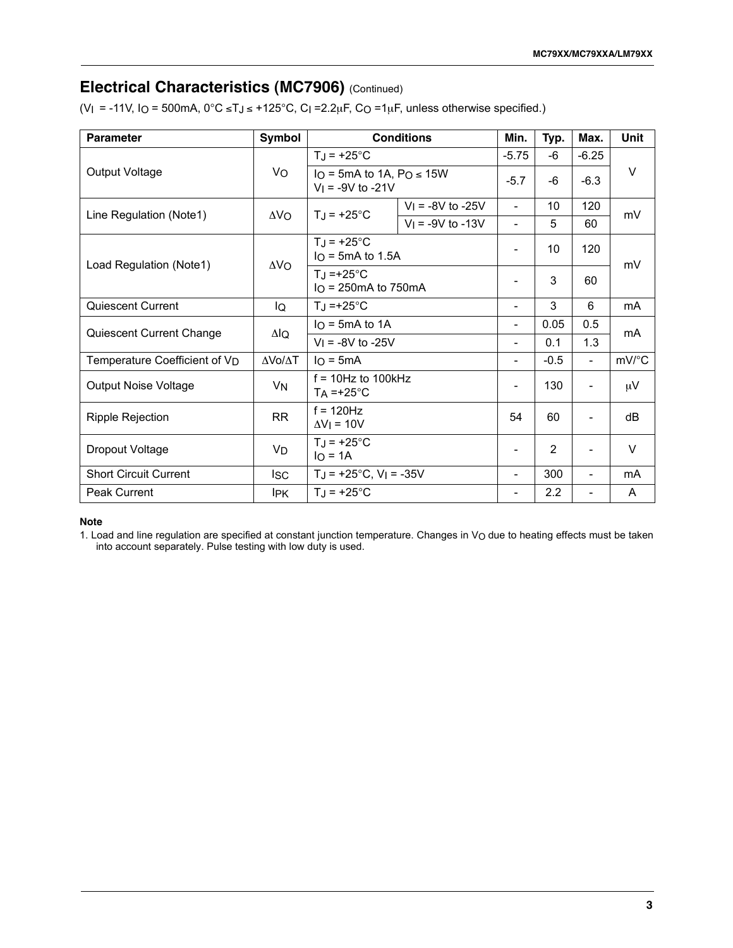### **Electrical Characteristics (MC7906)** (Continued)

(V<sub>I</sub> = -11V, I<sub>O</sub> = 500mA,  $0^{\circ}$ C ≤TJ ≤ +125 $^{\circ}$ C, C<sub>I</sub> = 2.2<sub>H</sub>F, C<sub>O</sub> = 1<sub>H</sub>F, unless otherwise specified.)

| <b>Parameter</b>                          | Symbol          |                                                     | <b>Conditions</b>     | Min.                     | Typ.           | Max.                     | Unit      |
|-------------------------------------------|-----------------|-----------------------------------------------------|-----------------------|--------------------------|----------------|--------------------------|-----------|
|                                           |                 | $T_J = +25^{\circ}C$                                |                       |                          | -6             | $-6.25$                  |           |
| Output Voltage                            | Vo              | Io = 5mA to 1A, $PQ \le 15W$<br>$V_1$ = -9V to -21V |                       | $-5.7$                   | -6             | $-6.3$                   | $\vee$    |
| Line Regulation (Note1)                   | ΔV <sub>O</sub> | $T_J = +25^{\circ}C$                                | $V_1 = -8V$ to $-25V$ | $\overline{\phantom{a}}$ | 10             | 120                      | mV        |
|                                           |                 |                                                     | $V_1 = -9V$ to -13V   | $\blacksquare$           | 5              | 60                       |           |
| Load Regulation (Note1)                   | $\Delta V_O$    | $T_J = +25^{\circ}C$<br>$IO$ = 5mA to 1.5A          |                       | $\blacksquare$           | 10             | 120                      | mV        |
|                                           |                 | $T_{\rm J}$ =+25°C<br>$IO$ = 250 mA to 750 mA       |                       |                          | 3              | 60                       |           |
| Quiescent Current                         | IQ              | $T_J = +25^{\circ}C$                                |                       |                          | 3              | 6                        | <b>mA</b> |
|                                           | ΔlQ             | $IO$ = 5mA to 1A                                    |                       |                          | 0.05           | 0.5                      | mA        |
| Quiescent Current Change                  |                 | $V_1 = -8V$ to $-25V$                               |                       | ۰                        | 0.1            | 1.3                      |           |
| Temperature Coefficient of V <sub>D</sub> | ΔΛο/ΔΤ          | $IO = 5mA$                                          |                       | $\overline{\phantom{a}}$ | $-0.5$         | $\blacksquare$           | mV/°C     |
| <b>Output Noise Voltage</b>               | VN              | $f = 10Hz$ to $100kHz$<br>$TA = +25^{\circ}C$       |                       | $\overline{\phantom{a}}$ | 130            | $\overline{\phantom{a}}$ | $\mu$ V   |
| <b>Ripple Rejection</b>                   | <b>RR</b>       | $f = 120$ Hz<br>$\Delta V$ = 10V                    |                       |                          | 60             | $\overline{\phantom{a}}$ | dB        |
| Dropout Voltage                           | VD              | $TJ = +25^{\circ}C$<br>$IO = 1A$                    |                       |                          | $\overline{2}$ |                          | $\vee$    |
| <b>Short Circuit Current</b>              | <b>ISC</b>      | $T_J = +25$ °C, V <sub>I</sub> = -35V               |                       |                          | 300            | $\blacksquare$           | mA        |
| Peak Current                              | <b>IPK</b>      | $T_J = +25^{\circ}C$                                |                       |                          | 2.2            | -                        | A         |

#### **Note**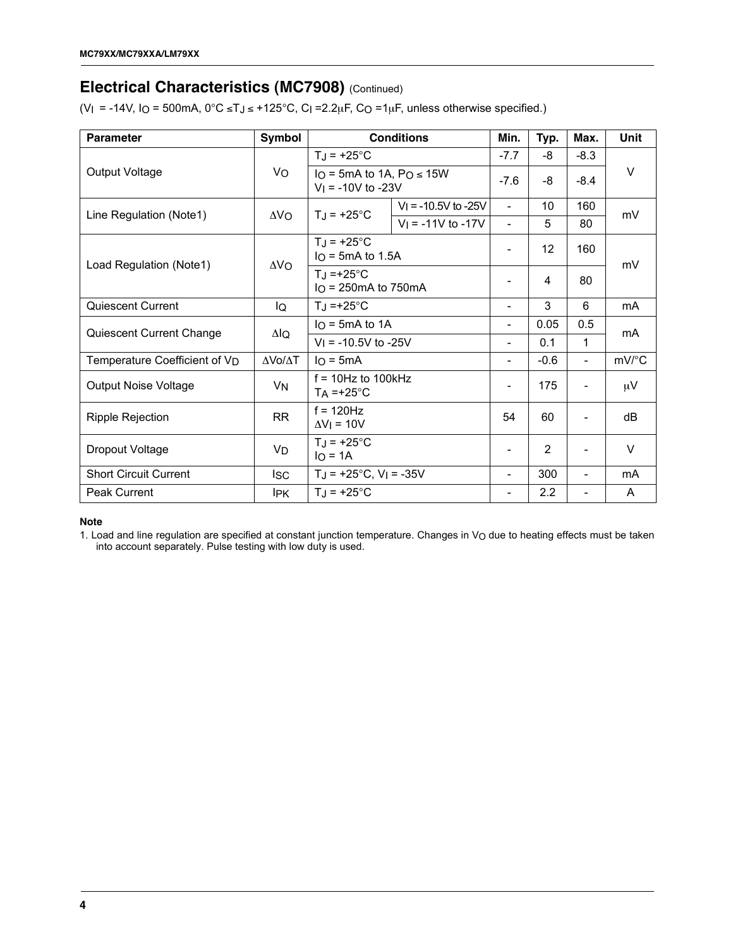### **Electrical Characteristics (MC7908)** (Continued)

(V<sub>I</sub> = -14V, I<sub>O</sub> = 500mA,  $0^{\circ}$ C ≤TJ ≤ +125 $^{\circ}$ C, C<sub>I</sub> = 2.2<sub>k</sub>F, C<sub>O</sub> = 1<sub>k</sub>F, unless otherwise specified.)

| <b>Parameter</b>                          | Symbol       |                                                      | <b>Conditions</b>      | Min.                     | Typ.   | Max.                     | <b>Unit</b> |  |
|-------------------------------------------|--------------|------------------------------------------------------|------------------------|--------------------------|--------|--------------------------|-------------|--|
|                                           |              | $T_J = +25^{\circ}C$                                 |                        | $-7.7$                   | -8     | $-8.3$                   |             |  |
| Output Voltage                            | Vo           | Io = 5mA to 1A, $Po \le 15W$<br>$V_1$ = -10V to -23V |                        | $-7.6$                   | -8     | $-8.4$                   | V           |  |
| Line Regulation (Note1)                   | $\Delta$ VO  | $T_J = +25^{\circ}C$                                 | $V_1$ = -10.5V to -25V | $\blacksquare$           | 10     | 160                      | mV          |  |
|                                           |              |                                                      | $V_1 = -11V$ to $-17V$ | $\overline{\phantom{0}}$ | 5      | 80                       |             |  |
| Load Regulation (Note1)                   | $\Delta V_O$ | $T_J = +25^{\circ}C$<br>$IO$ = 5mA to 1.5A           |                        |                          | 12     | 160                      | mV          |  |
|                                           |              | $T_J = +25$ °C                                       | $IO$ = 250mA to 750mA  |                          | 4      | 80                       |             |  |
| Quiescent Current                         | IQ           | $TJ = +25^{\circ}C$                                  |                        | $\overline{\phantom{0}}$ | 3      | 6                        | mA          |  |
| Quiescent Current Change                  | ΔlQ          | $IO$ = 5mA to 1A                                     |                        | -                        | 0.05   | 0.5                      | mA          |  |
|                                           |              | $V_1$ = -10.5V to -25V                               |                        | -                        | 0.1    | $\mathbf{1}$             |             |  |
| Temperature Coefficient of V <sub>D</sub> | ΔVο/ΔΤ       | $I_O = 5mA$                                          |                        | Ξ.                       | $-0.6$ | $\overline{\phantom{0}}$ | mV/°C       |  |
| <b>Output Noise Voltage</b>               | VN.          | $f = 10Hz$ to 100kHz<br>$T_A = +25$ °C               |                        |                          | 175    |                          | $\mu$ V     |  |
| Ripple Rejection                          | <b>RR</b>    | $f = 120$ Hz<br>$\Delta V$ = 10V                     |                        | 54                       | 60     | -                        | dB          |  |
| Dropout Voltage                           | VD           | $TJ = +25^{\circ}C$<br>$IO = 1A$                     |                        |                          | 2      |                          | $\vee$      |  |
| <b>Short Circuit Current</b>              | <b>ISC</b>   | $TJ = +25^{\circ}C$ , $VI = -35V$                    |                        | -                        | 300    | $\overline{\phantom{a}}$ | mA          |  |
| Peak Current                              | IPK.         | $T_J = +25^{\circ}C$                                 |                        | -                        | 2.2    |                          | A           |  |

#### **Note**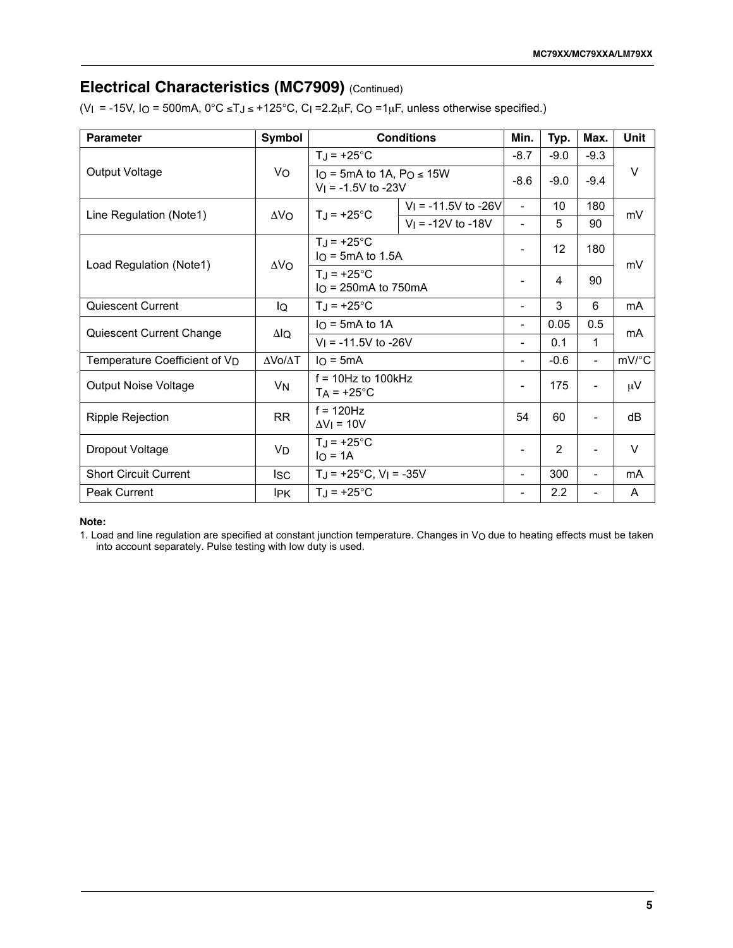# **Electrical Characteristics (MC7909)** (Continued)

(VI = -15V, IO = 500mA,  $0^{\circ}$ C ≤TJ ≤ +125°C, CI =2.2µF, CO =1µF, unless otherwise specified.)

| <b>Parameter</b>                          | Symbol               |                                                         | <b>Conditions</b>        | Min.                     | Typ.             | Max.                     | Unit                |
|-------------------------------------------|----------------------|---------------------------------------------------------|--------------------------|--------------------------|------------------|--------------------------|---------------------|
|                                           |                      | $T_J = +25^{\circ}C$                                    |                          | $-8.7$                   | $-9.0$           | $-9.3$                   |                     |
| Output Voltage                            | Vo                   | Io = 5mA to 1A, $Po \le 15W$<br>$V_1 = -1.5V$ to $-23V$ |                          | $-8.6$                   | $-9.0$           | $-9.4$                   | $\vee$              |
| Line Regulation (Note1)                   | $\Delta V_O$         | $T_J = +25^{\circ}C$                                    | $V_1 = -11.5V$ to $-26V$ | $\overline{\phantom{a}}$ | 10               | 180                      | mV                  |
|                                           |                      |                                                         | $V_1$ = -12V to -18V     | $\overline{\phantom{0}}$ | 5                | 90                       |                     |
| Load Regulation (Note1)                   | $\Delta V_O$         | $T_{\rm d}$ = +25°C<br>$IO$ = 5mA to 1.5A               |                          | $\overline{\phantom{a}}$ | 12               | 180                      | mV                  |
|                                           |                      | $T_J = +25^{\circ}C$<br>$IO$ = 250mA to 750mA           |                          | ٠                        | 4                | 90                       |                     |
| Quiescent Current                         | IQ                   | $TJ = +25^{\circ}C$                                     |                          |                          | 3                | 6                        | mA                  |
|                                           | ΔlQ                  | $IO$ = 5mA to 1A                                        |                          | $\overline{\phantom{0}}$ | 0.05             | 0.5                      | mA                  |
| Quiescent Current Change                  |                      | $V_1 = -11.5V$ to $-26V$                                |                          | $\overline{\phantom{a}}$ | 0.1              | 1                        |                     |
| Temperature Coefficient of V <sub>D</sub> | ΔVο/ΔΤ               | $IO = 5mA$                                              |                          | -                        | $-0.6$           | $\overline{\phantom{a}}$ | $mV$ <sup>o</sup> C |
| <b>Output Noise Voltage</b>               | <b>V<sub>N</sub></b> | $f = 10$ Hz to 100kHz<br>$T_A$ = +25°C                  |                          | $\overline{\phantom{a}}$ | 175              | -                        | $\mu$ V             |
| Ripple Rejection                          | <b>RR</b>            | $f = 120$ Hz<br>$\Delta V$   = 10V                      |                          | 54                       | 60               | $\overline{a}$           | dB                  |
| Dropout Voltage                           | V <sub>D</sub>       | $TJ = +25^{\circ}C$<br>$IO = 1A$                        |                          | $\overline{\phantom{0}}$ | $\overline{2}$   |                          | $\vee$              |
| <b>Short Circuit Current</b>              | <b>ISC</b>           | $TJ = +25^{\circ}C$ , $VI = -35V$                       |                          | $\overline{a}$           | 300              |                          | mA                  |
| Peak Current                              | <b>IPK</b>           | $T_J = +25^{\circ}C$                                    |                          | -                        | $2.2\phantom{0}$ | -                        | A                   |

#### **Note:**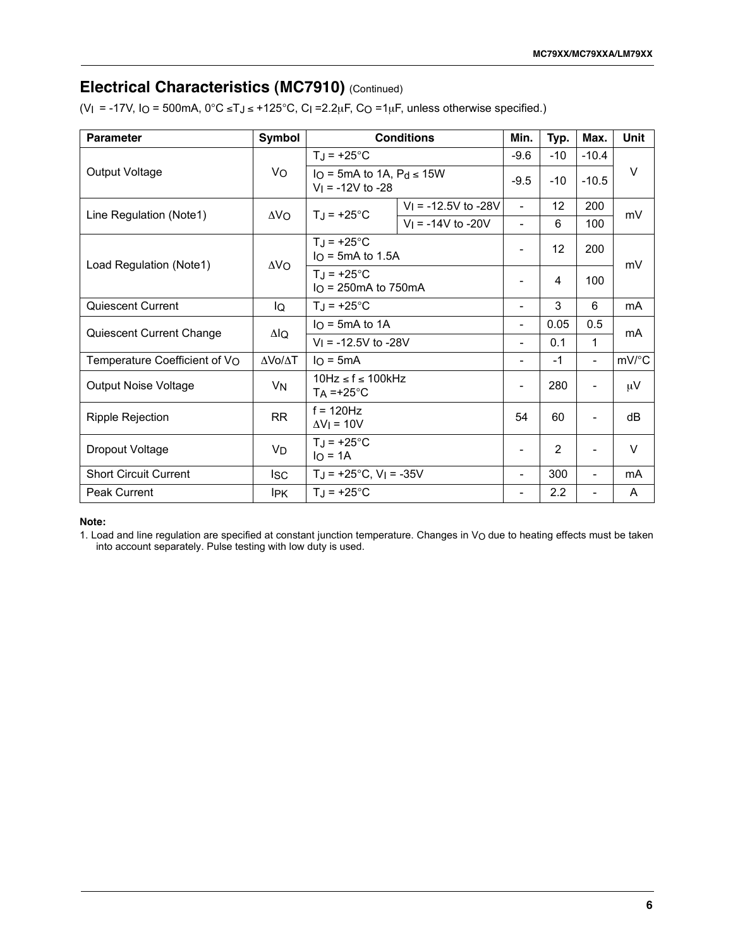# **Electrical Characteristics (MC7910)** (Continued)

(V<sub>I</sub> = -17V, I<sub>O</sub> = 500mA,  $0^{\circ}$ C ≤TJ ≤ +125°C, C<sub>I</sub> =2.2<sub>H</sub>F, C<sub>O</sub> =1<sub>H</sub>F, unless otherwise specified.)

| <b>Parameter</b>              | Symbol          |                                                     | <b>Conditions</b>      | Min.                     | Typ.              | Max.                     | <b>Unit</b>         |
|-------------------------------|-----------------|-----------------------------------------------------|------------------------|--------------------------|-------------------|--------------------------|---------------------|
|                               |                 | $T_J = +25^{\circ}C$                                |                        |                          | $-10$             | $-10.4$                  |                     |
| Output Voltage                | Vo              | Io = 5mA to 1A, $Pd \le 15W$<br>$V_1$ = -12V to -28 |                        | $-9.5$                   | $-10$             | $-10.5$                  | V                   |
| Line Regulation (Note1)       | ΔV <sub>O</sub> | $T_J = +25^{\circ}C$                                | $V_1$ = -12.5V to -28V | $\overline{\phantom{0}}$ | $12 \overline{ }$ | 200                      | mV                  |
|                               |                 |                                                     | $V_1$ = -14V to -20V   | $\overline{\phantom{a}}$ | 6                 | 100                      |                     |
| Load Regulation (Note1)       | $\Delta V_O$    | $T_{\rm J}$ = +25°C<br>$IO$ = 5mA to 1.5A           |                        | $\overline{\phantom{a}}$ | 12                | 200                      | mV                  |
|                               |                 | $T_{\rm J}$ = +25°C<br>$IO$ = 250mA to 750mA        |                        | $\overline{\phantom{a}}$ | 4                 | 100                      |                     |
| Quiescent Current             | IQ              | $T_J = +25^{\circ}C$                                |                        |                          | 3                 | 6                        | mA                  |
| Quiescent Current Change      | ΔlQ             | $IO$ = 5mA to 1A                                    |                        |                          | 0.05              | 0.5                      | mA                  |
|                               |                 | $V_1$ = -12.5V to -28V                              |                        | $\overline{\phantom{a}}$ | 0.1               | 1                        |                     |
| Temperature Coefficient of VO | ΔVο/ΔΤ          | $IO = 5mA$                                          |                        | $\overline{\phantom{a}}$ | $-1$              | $\overline{\phantom{a}}$ | $mV$ <sup>o</sup> C |
| <b>Output Noise Voltage</b>   | VN              | $10Hz \le f \le 100kHz$<br>$TA = +25^{\circ}C$      |                        | $\overline{\phantom{a}}$ | 280               | $\overline{\phantom{a}}$ | $\mu$ V             |
| Ripple Rejection              | <b>RR</b>       | $f = 120$ Hz<br>$\Delta V$   = 10V                  |                        |                          | 60                | $\overline{a}$           | dB                  |
| Dropout Voltage               | VD              | $T_J = +25^{\circ}C$<br>$IO = 1A$                   |                        |                          | $\overline{2}$    |                          | V                   |
| <b>Short Circuit Current</b>  | lsc             | $TJ = +25^{\circ}C$ , $VI = -35V$                   |                        | $\overline{\phantom{a}}$ | 300               |                          | mA                  |
| Peak Current                  | <b>IPK</b>      | $T_J = +25^{\circ}C$                                |                        | $\overline{\phantom{a}}$ | 2.2               | $\overline{\phantom{a}}$ | A                   |

#### **Note:**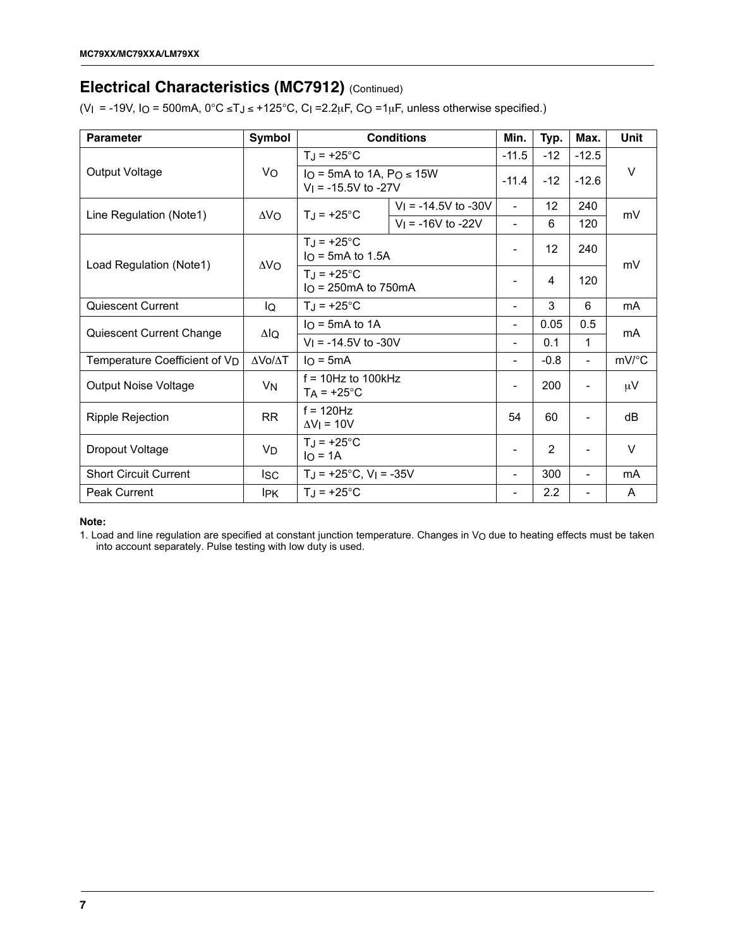### **Electrical Characteristics (MC7912)** (Continued)

(V<sub>I</sub> = -19V, I<sub>O</sub> = 500mA,  $0^{\circ}$ C ≤TJ ≤ +125 $^{\circ}$ C, C<sub>I</sub> = 2.2<sub>k</sub>F, C<sub>O</sub> = 1<sub>k</sub>F, unless otherwise specified.)

| <b>Parameter</b>                          | Symbol         |                                                        | <b>Conditions</b>                                                  | Min.                     | Typ.           | Max.                     | Unit   |  |
|-------------------------------------------|----------------|--------------------------------------------------------|--------------------------------------------------------------------|--------------------------|----------------|--------------------------|--------|--|
|                                           |                | $T_J = +25^{\circ}C$                                   |                                                                    |                          | $-12$          | $-12.5$                  |        |  |
| Output Voltage                            | Vo             | Io = 5mA to 1A, $Po \le 15W$<br>$V_1$ = -15.5V to -27V |                                                                    | $-11.4$                  | $-12$          | $-12.6$                  | V      |  |
| Line Regulation (Note1)                   | $\Delta V_O$   | $T_{\rm J}$ = +25°C                                    | $V_1$ = -14.5V to -30V                                             | $\overline{\phantom{a}}$ | 12             | 240                      | mV     |  |
|                                           |                |                                                        | $V_1 = -16V$ to $-22V$                                             |                          | 6              | 120                      |        |  |
| Load Regulation (Note1)                   | $\Delta V_O$   | $T_{\rm J}$ = +25°C                                    | $IO$ = 5mA to 1.5A<br>$TJ = +25^{\circ}C$<br>$IO$ = 250mA to 750mA |                          | 12             | 240                      | mV     |  |
|                                           |                |                                                        |                                                                    |                          | 4              | 120                      |        |  |
| <b>Quiescent Current</b>                  | IQ             | $T_J = +25^{\circ}C$                                   |                                                                    | -                        | 3              | 6                        | mA     |  |
| Quiescent Current Change                  | ΔlQ            | $IO$ = 5mA to 1A                                       |                                                                    | -                        | 0.05           | 0.5                      | mA     |  |
|                                           |                | $V_1$ = -14.5V to -30V                                 |                                                                    | ۰                        | 0.1            | 1                        |        |  |
| Temperature Coefficient of V <sub>D</sub> | ΔVο/ΔΤ         | $I \cap = 5mA$                                         |                                                                    | -                        | $-0.8$         |                          | mV/°C  |  |
| <b>Output Noise Voltage</b>               | V <sub>N</sub> | $f = 10$ Hz to 100kHz<br>$T_A$ = +25°C                 |                                                                    | -                        | 200            |                          | μV     |  |
| Ripple Rejection                          | <b>RR</b>      | $f = 120$ Hz<br>$\Delta V$   = 10V                     |                                                                    | 54                       | 60             |                          | dB     |  |
| Dropout Voltage                           | V <sub>D</sub> | $TJ = +25^{\circ}C$<br>$IO = 1A$                       |                                                                    | $\overline{\phantom{a}}$ | $\overline{2}$ |                          | $\vee$ |  |
| <b>Short Circuit Current</b>              | <b>ISC</b>     | $T_J = +25$ °C, V <sub>I</sub> = -35V                  |                                                                    | -                        | 300            | $\overline{\phantom{a}}$ | mA     |  |
| Peak Current                              | IPK.           | $T_J = +25^{\circ}C$                                   |                                                                    | -                        | 2.2            |                          | A      |  |

#### **Note:**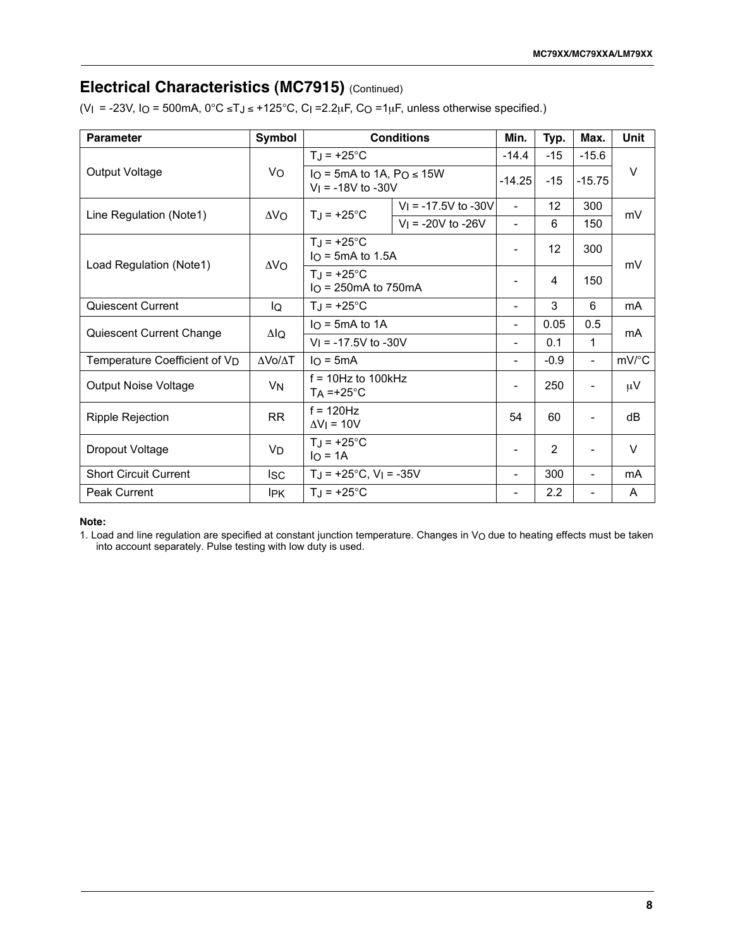### **Electrical Characteristics (MC7915)** (Continued)

(VI = -23V, IO = 500mA,  $0^{\circ}$ C ≤TJ ≤ +125°C, CI =2.2µF, CO =1µF, unless otherwise specified.)

| <b>Parameter</b>                          | Symbol       |                                                      | <b>Conditions</b>      | Min.                     | Typ.              | Max.                     | <b>Unit</b>    |
|-------------------------------------------|--------------|------------------------------------------------------|------------------------|--------------------------|-------------------|--------------------------|----------------|
|                                           |              | $T_J = +25^{\circ}C$                                 |                        | $-14.4$                  | $-15$             | $-15.6$                  |                |
| Output Voltage                            | Vo           | Io = 5mA to 1A, $PQ \le 15W$<br>$V_1$ = -18V to -30V |                        | $-14.25$                 | $-15$             | $-15.75$                 | $\vee$         |
| Line Regulation (Note1)                   | $\Delta V_O$ | $T_J = +25^{\circ}C$                                 | $V_1$ = -17.5V to -30V | $\blacksquare$           | $12 \overline{ }$ | 300                      | mV             |
|                                           |              |                                                      | $V_1$ = -20V to -26V   | $\overline{\phantom{0}}$ | 6                 | 150                      |                |
| Load Regulation (Note1)                   | $\Delta V_O$ | $TJ = +25^{\circ}C$<br>$IO$ = 5mA to 1.5A            |                        | $\overline{\phantom{a}}$ | 12                | 300                      | mV             |
|                                           |              | $T_J = +25^{\circ}C$<br>$IO$ = 250mA to 750mA        |                        | $\overline{\phantom{a}}$ | 4                 | 150                      |                |
| Quiescent Current                         | lQ           | $T_J = +25^{\circ}C$                                 |                        |                          | 3                 | 6                        | m <sub>A</sub> |
| Quiescent Current Change                  | $\Delta I$ Q | $IO$ = 5mA to 1A                                     |                        |                          | 0.05              | 0.5                      | mA             |
|                                           |              | $V_1 = -17.5V$ to $-30V$                             |                        | ۰                        | 0.1               | 1                        |                |
| Temperature Coefficient of V <sub>D</sub> | ΔVο/ΔΤ       | $I \cap = 5mA$                                       |                        | -                        | $-0.9$            | $\overline{\phantom{a}}$ | mV/°C          |
| <b>Output Noise Voltage</b>               | VN           | $f = 10$ Hz to 100kHz<br>$TA = +25^{\circ}C$         |                        | ۰                        | 250               |                          | $\mu$ V        |
| Ripple Rejection                          | <b>RR</b>    | $f = 120$ Hz<br>$\Delta V$   = 10V                   |                        |                          | 60                | $\overline{\phantom{a}}$ | dB             |
| Dropout Voltage                           | VD           | $T_J = +25^{\circ}C$<br>$IO = 1A$                    |                        | $\overline{\phantom{a}}$ | $\overline{2}$    |                          | $\vee$         |
| <b>Short Circuit Current</b>              | <b>ISC</b>   | $T_J = +25$ °C, V <sub>I</sub> = -35V                |                        | $\overline{\phantom{a}}$ | 300               | $\blacksquare$           | mA             |
| <b>Peak Current</b>                       | <b>IPK</b>   | $T_J = +25^{\circ}C$                                 |                        |                          | 2.2               |                          | A              |

#### **Note:**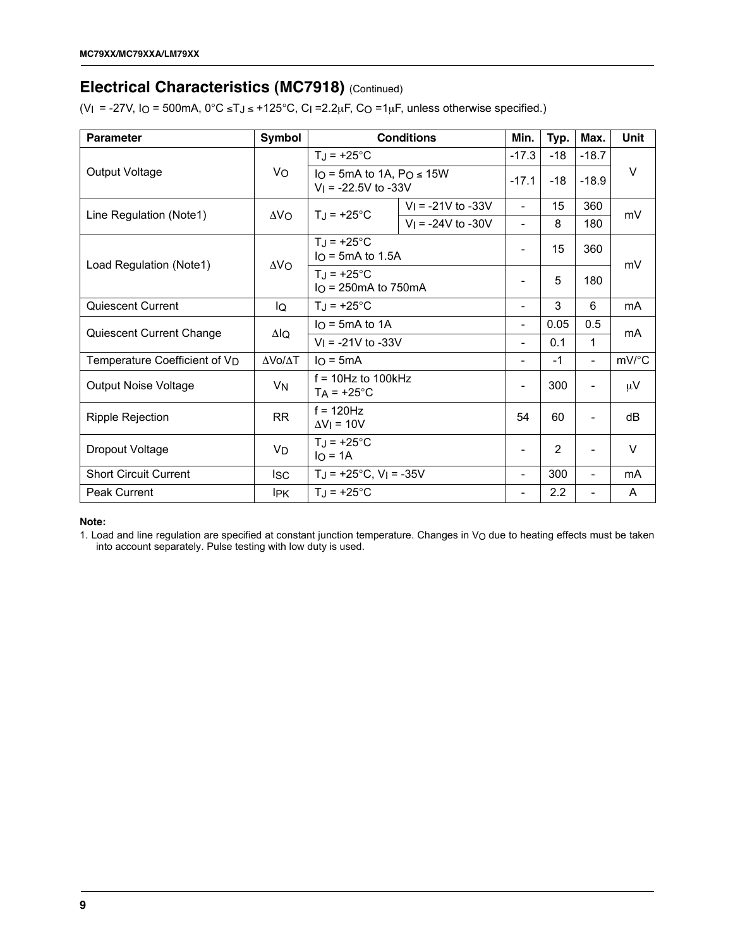### **Electrical Characteristics (MC7918)** (Continued)

(VI = -27V, IO = 500mA,  $0^{\circ}$ C ≤TJ ≤ +125 $^{\circ}$ C, CI =2.2µF, CO =1µF, unless otherwise specified.)

| <b>Parameter</b>                          | Symbol       |                                                        | <b>Conditions</b>      | Min.                     | Typ.  | Max.                     | <b>Unit</b> |
|-------------------------------------------|--------------|--------------------------------------------------------|------------------------|--------------------------|-------|--------------------------|-------------|
|                                           |              | $T_J = +25^{\circ}C$                                   |                        | $-17.3$                  | $-18$ | $-18.7$                  |             |
| Output Voltage                            | Vo           | Io = 5mA to 1A, $Po \le 15W$<br>$V_1$ = -22.5V to -33V |                        | $-17.1$                  | $-18$ | $-18.9$                  | $\vee$      |
| Line Regulation (Note1)                   | $\Delta V_O$ | $T_J = +25^{\circ}C$                                   | $V_1$ = -21V to -33V   | $\blacksquare$           | 15    | 360                      | mV          |
|                                           |              |                                                        | $V_1 = -24V$ to $-30V$ | $\overline{\phantom{a}}$ | 8     | 180                      |             |
| Load Regulation (Note1)                   | $\Delta V_O$ | $T_J = +25^{\circ}C$<br>$IO$ = 5mA to 1.5A             |                        | $\overline{\phantom{a}}$ | 15    | 360                      | mV          |
|                                           |              | $TJ = +25^{\circ}C$<br>$IO$ = 250mA to 750mA           |                        | $\overline{\phantom{a}}$ | 5     | 180                      |             |
| Quiescent Current                         | lQ           | $T_J = +25^{\circ}C$                                   |                        | $\overline{\phantom{a}}$ | 3     | 6                        | mA          |
| Quiescent Current Change                  | ΔlQ          | $IO$ = 5mA to 1A                                       |                        | $\blacksquare$           | 0.05  | 0.5                      | mA          |
|                                           |              | $V_1$ = -21V to -33V                                   |                        | $\overline{\phantom{a}}$ | 0.1   | 1                        |             |
| Temperature Coefficient of V <sub>D</sub> | ΔVο/ΔΤ       | $I \cap = 5mA$                                         |                        | $\overline{\phantom{a}}$ | $-1$  | $\sim$                   | mV/°C       |
| <b>Output Noise Voltage</b>               | VN           | $f = 10$ Hz to 100kHz<br>$T_A$ = +25°C                 |                        | $\overline{\phantom{a}}$ | 300   |                          | $\mu$ V     |
| Ripple Rejection                          | <b>RR</b>    | $f = 120$ Hz<br>$\Delta V_1 = 10V$                     |                        | 54                       | 60    | $\overline{\phantom{a}}$ | dB          |
| Dropout Voltage                           | VD           | $T_J = +25^{\circ}C$<br>$IO = 1A$                      |                        | $\overline{\phantom{a}}$ | 2     |                          | $\vee$      |
| <b>Short Circuit Current</b>              | <b>ISC</b>   | $TJ = +25^{\circ}C$ , $VI = -35V$                      |                        | $\overline{\phantom{a}}$ | 300   | $\overline{\phantom{a}}$ | mA          |
| Peak Current                              | IPK.         | $T_J = +25^{\circ}C$                                   |                        | -                        | 2.2   |                          | A           |

#### **Note:**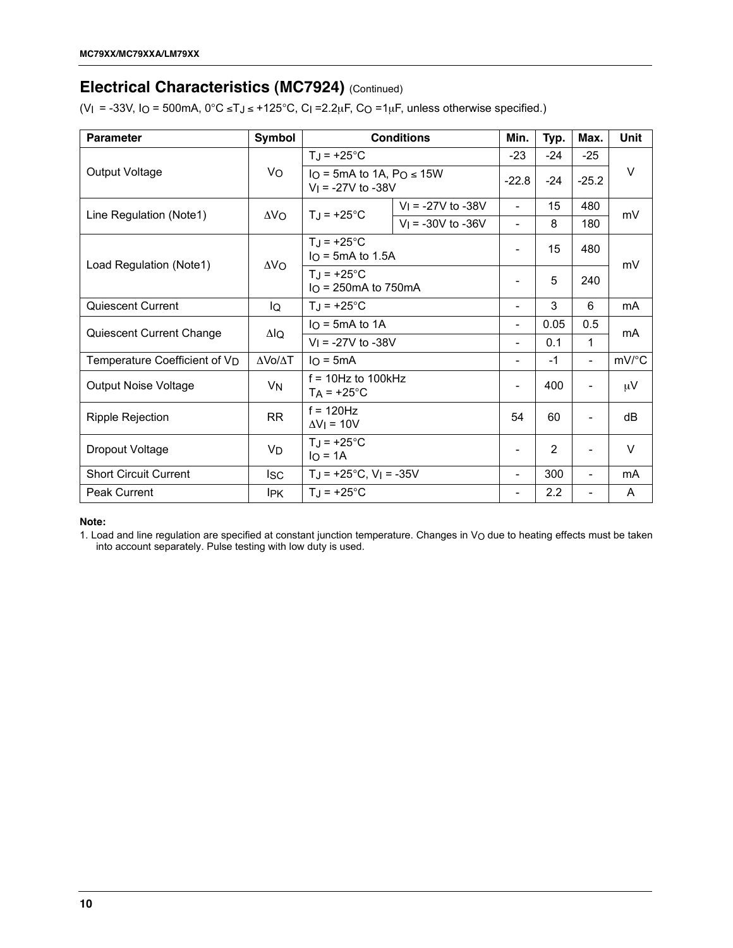### **Electrical Characteristics (MC7924)** (Continued)

(VI = -33V, IO = 500mA,  $0^{\circ}$ C ≤TJ ≤ +125 $^{\circ}$ C, CI =2.2µF, CO =1µF, unless otherwise specified.)

| <b>Parameter</b>                          | Symbol          |                                                        | <b>Conditions</b>      | Min.                     | Typ.  | Max.                     | Unit      |
|-------------------------------------------|-----------------|--------------------------------------------------------|------------------------|--------------------------|-------|--------------------------|-----------|
|                                           |                 | $T_J = +25^{\circ}C$                                   |                        |                          | $-24$ | $-25$                    |           |
| Output Voltage                            | Vo              | Io = 5mA to 1A, $PQ \le 15W$<br>$V_1 = -27V$ to $-38V$ |                        | $-22.8$                  | $-24$ | $-25.2$                  | V         |
|                                           |                 | $T_J = +25^{\circ}C$                                   | $V_1$ = -27V to -38V   | $\overline{\phantom{0}}$ | 15    | 480                      | mV        |
| Line Regulation (Note1)                   | ΔV <sub>O</sub> |                                                        | $V_1 = -30V$ to $-36V$ | $\overline{\phantom{0}}$ | 8     | 180                      |           |
| Load Regulation (Note1)                   | $\Delta V_O$    | $T_{\rm J}$ = +25°C<br>$IO$ = 5mA to 1.5A              |                        | -                        | 15    | 480                      | mV        |
|                                           |                 | $T_J = +25^{\circ}C$<br>$IO$ = 250mA to 750mA          |                        | $\overline{\phantom{a}}$ | 5     | 240                      |           |
| Quiescent Current                         | IQ              | $TJ = +25^{\circ}C$                                    |                        |                          | 3     | 6                        | <b>mA</b> |
| Quiescent Current Change                  | ΔlQ             | $IO$ = 5mA to 1A                                       |                        | ٠                        | 0.05  | 0.5                      | mA        |
|                                           |                 | $V_1 = -27V$ to $-38V$                                 |                        | $\overline{\phantom{0}}$ | 0.1   | 1                        |           |
| Temperature Coefficient of V <sub>D</sub> | ΔVο/ΔΤ          | $I \cap = 5mA$                                         |                        |                          | $-1$  |                          | mV/°C     |
| <b>Output Noise Voltage</b>               | VN              | $f = 10$ Hz to 100kHz<br>$TA = +25^{\circ}C$           |                        |                          | 400   |                          | $\mu$ V   |
| <b>Ripple Rejection</b>                   | <b>RR</b>       | $f = 120$ Hz<br>$\Delta V$   = 10V                     |                        |                          | 60    | $\overline{a}$           | dB        |
| Dropout Voltage                           | VD              | $TJ = +25^{\circ}C$<br>$IO = 1A$                       |                        | $\overline{\phantom{a}}$ | 2     |                          | $\vee$    |
| <b>Short Circuit Current</b>              | <b>ISC</b>      | $T_J = +25$ °C, V <sub>I</sub> = -35V                  |                        | ٠                        | 300   | $\overline{\phantom{0}}$ | mA        |
| Peak Current                              | <b>IPK</b>      | $T_J = +25^{\circ}C$                                   |                        | $\overline{\phantom{a}}$ | 2.2   |                          | A         |

#### **Note:**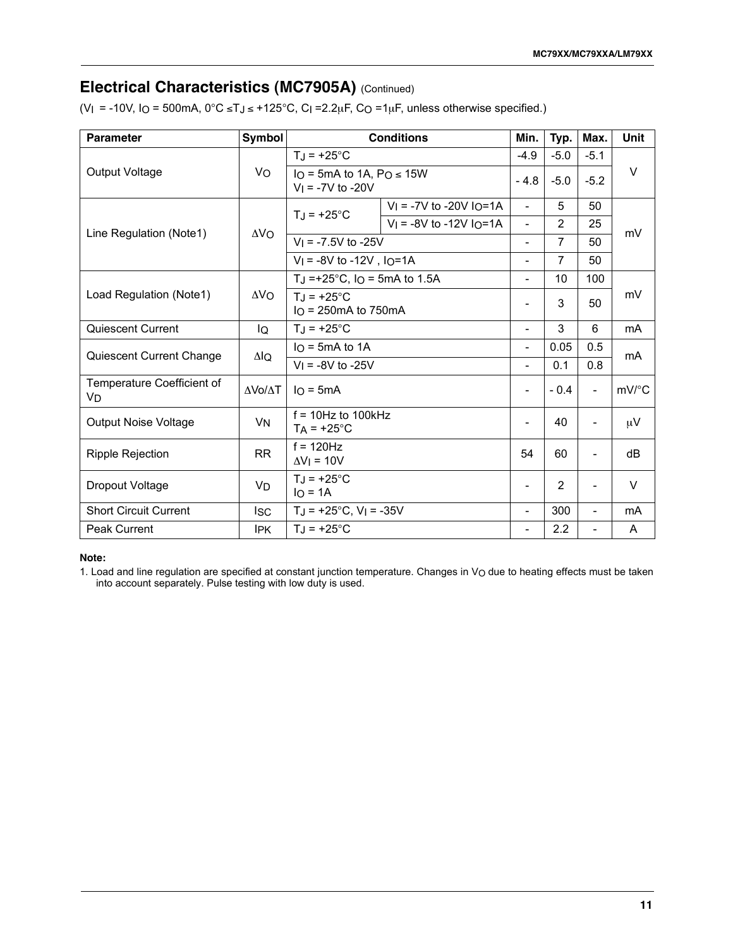### **Electrical Characteristics (MC7905A)** (Continued)

(VI = -10V, IO = 500mA,  $0^{\circ}$ C ≤TJ ≤ +125°C, CI =2.2µF, CO =1µF, unless otherwise specified.)

| <b>Parameter</b>                 | Symbol         |                                                     | <b>Conditions</b>                      | Min.                     | Typ.           | Max.                     | <b>Unit</b>         |
|----------------------------------|----------------|-----------------------------------------------------|----------------------------------------|--------------------------|----------------|--------------------------|---------------------|
|                                  |                | $T_{\rm J}$ = +25°C                                 |                                        | $-4.9$                   | $-5.0$         | $-5.1$                   |                     |
| Output Voltage                   | Vo             | Io = 5mA to 1A, $PQ \le 15W$<br>$V_1 = -7V$ to -20V |                                        | $-4.8$                   | $-5.0$         | $-5.2$                   | $\vee$              |
|                                  |                | $T_J = +25$ °C                                      | $V_1$ = -7V to -20V IO=1A              | $\overline{\phantom{a}}$ | 5              | 50                       |                     |
|                                  |                |                                                     | $V_1 = -8V$ to -12V I <sub>O</sub> =1A | $\blacksquare$           | $\overline{2}$ | 25                       | mV                  |
| Line Regulation (Note1)          | $\Delta$ VO    | $V_1 = -7.5V$ to $-25V$                             |                                        | $\blacksquare$           | $\overline{7}$ | 50                       |                     |
|                                  |                | $V_1 = -8V$ to $-12V$ , $I_O = 1A$                  |                                        | $\overline{\phantom{0}}$ | $\overline{7}$ | 50                       |                     |
|                                  |                | TJ = +25 $^{\circ}$ C, I <sub>O</sub> = 5mA to 1.5A |                                        | $\overline{\phantom{a}}$ | 10             | 100                      |                     |
| Load Regulation (Note1)          | $\Delta V_O$   | $T_{\rm J}$ = +25°C<br>$IO = 250mA$ to 750mA        |                                        | -                        | 3              | 50                       | mV                  |
| Quiescent Current                | lQ             | $T_J = +25^{\circ}C$                                |                                        |                          | 3              | 6                        | mA                  |
|                                  |                | $I_O = 5mA$ to 1A                                   |                                        | $\blacksquare$           | 0.05           | 0.5                      | m <sub>A</sub>      |
| Quiescent Current Change         | ΔlQ            | $V_1 = -8V$ to $-25V$                               |                                        | ٠                        | 0.1            | 0.8                      |                     |
| Temperature Coefficient of<br>VD | <b>AVO/AT</b>  | $I \cap = 5mA$                                      |                                        | $\overline{\phantom{a}}$ | $-0.4$         | $\overline{\phantom{0}}$ | $mV$ <sup>o</sup> C |
| <b>Output Noise Voltage</b>      | V <sub>N</sub> | $f = 10$ Hz to 100kHz<br>$T_A = +25$ °C             |                                        | $\overline{\phantom{a}}$ | 40             | $\overline{\phantom{0}}$ | $\mu$ V             |
| <b>Ripple Rejection</b>          | <b>RR</b>      | $f = 120$ Hz<br>$\Delta V$ <sub>I</sub> = 10V       |                                        |                          | 60             | -                        | dВ                  |
| Dropout Voltage                  | <b>VD</b>      | $T_J = +25^{\circ}C$<br>$IO = 1A$                   |                                        | $\blacksquare$           | 2              | $\overline{\phantom{0}}$ | $\vee$              |
| <b>Short Circuit Current</b>     | <b>ISC</b>     | $TJ = +25^{\circ}C$ , $VI = -35V$                   |                                        | $\blacksquare$           | 300            | $\overline{\phantom{0}}$ | mA                  |
| <b>Peak Current</b>              | <b>IPK</b>     | $T_{\rm J}$ = +25°C                                 |                                        | $\overline{\phantom{0}}$ | 2.2            |                          | A                   |

#### **Note:**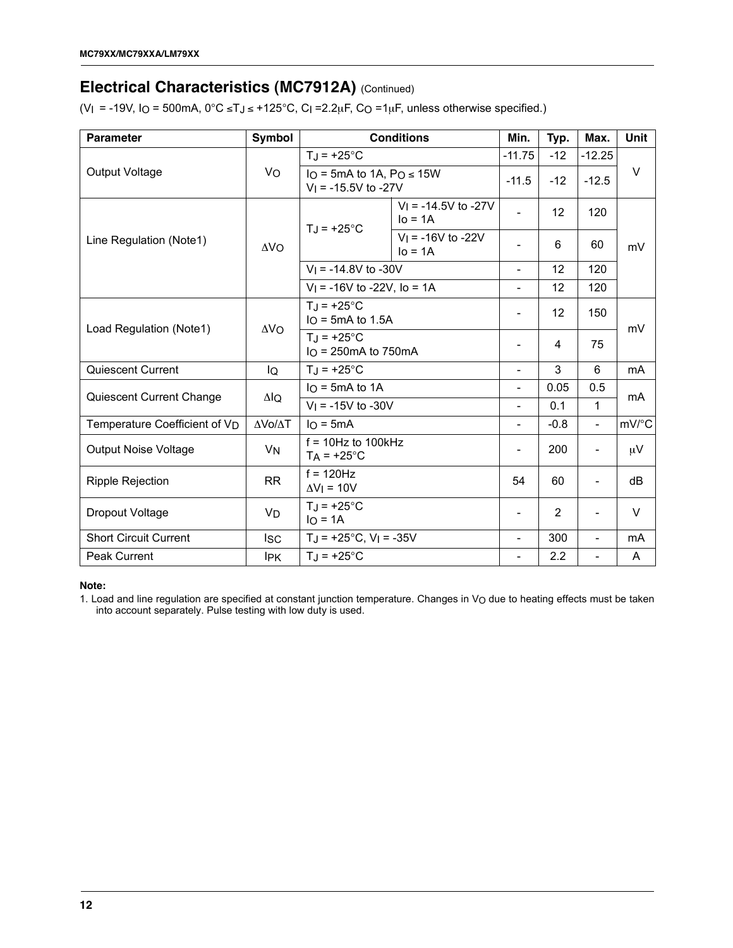### **Electrical Characteristics (MC7912A)** (Continued)

(V<sub>I</sub> = -19V, I<sub>O</sub> = 500mA,  $0^{\circ}$ C ≤TJ ≤ +125 $^{\circ}$ C, C<sub>I</sub> = 2.2<sub>k</sub>F, C<sub>O</sub> = 1<sub>k</sub>F, unless otherwise specified.)

| <b>Parameter</b>                          | Symbol         |                                                        | <b>Conditions</b>                     | Min.                         | Typ.              | Max.                     | <b>Unit</b>    |
|-------------------------------------------|----------------|--------------------------------------------------------|---------------------------------------|------------------------------|-------------------|--------------------------|----------------|
|                                           |                | $T_J = +25^{\circ}C$                                   |                                       |                              | $-12$             | $-12.25$                 |                |
| Output Voltage                            | Vo             | Io = 5mA to 1A, $PQ \le 15W$<br>$V_1$ = -15.5V to -27V |                                       | $-11.5$                      | $-12$             | $-12.5$                  | $\vee$         |
|                                           |                | $T_J = +25^{\circ}C$                                   | $V_1 = -14.5V$ to $-27V$<br>$IO = 1A$ | $\overline{a}$               | $12 \overline{ }$ | 120                      |                |
| Line Regulation (Note1)                   | $\Delta V_O$   |                                                        | $V_1 = -16V$ to $-22V$<br>$IO = 1A$   |                              | 6                 | 60                       | mV             |
|                                           |                | $V_1 = -14.8V$ to $-30V$                               |                                       | $\overline{\phantom{0}}$     | 12                | 120                      |                |
|                                           |                | $V_1$ = -16V to -22V, lo = 1A                          |                                       | $\overline{a}$               | 12                | 120                      |                |
| Load Regulation (Note1)                   | $\Delta V_O$   | $T_J = +25^{\circ}C$<br>$IO$ = 5mA to 1.5A             |                                       | -                            | $12 \overline{ }$ | 150                      | mV             |
|                                           |                | $T_J = +25$ °C<br>$IO$ = 250 mA to 750 mA              |                                       |                              | 4                 | 75                       |                |
| Quiescent Current                         | lQ             | $T_J = +25^{\circ}C$                                   |                                       | -                            | 3                 | 6                        | <b>mA</b>      |
|                                           |                | $IO$ = 5mA to 1A                                       |                                       | $\qquad \qquad \blacksquare$ | 0.05              | 0.5                      | mA             |
| Quiescent Current Change                  | $\Delta I_Q$   | $V_1 = -15V$ to $-30V$                                 |                                       | $\overline{a}$               | 0.1               | 1                        |                |
| Temperature Coefficient of V <sub>D</sub> | ΔVο/ΔΤ         | $I_O = 5mA$                                            |                                       | $\overline{a}$               | $-0.8$            | $\blacksquare$           | mV/°C          |
| <b>Output Noise Voltage</b>               | V <sub>N</sub> | $f = 10$ Hz to 100kHz<br>$TA = +25^{\circ}C$           |                                       |                              | 200               | $\blacksquare$           | μV             |
| <b>Ripple Rejection</b>                   | <b>RR</b>      | $f = 120$ Hz<br>$\Delta V$   = 10V                     |                                       | 54                           | 60                |                          | dB             |
| Dropout Voltage                           | <b>VD</b>      | $T_J = +25$ °C<br>$IO = 1A$                            |                                       |                              | $\overline{2}$    | $\overline{\phantom{a}}$ | V              |
| <b>Short Circuit Current</b>              | <b>ISC</b>     |                                                        | $T_J = +25$ °C, V <sub>I</sub> = -35V |                              | 300               | $\overline{\phantom{a}}$ | m <sub>A</sub> |
| <b>Peak Current</b>                       | <b>IPK</b>     | $T_J = +25^{\circ}C$                                   |                                       |                              | 2.2               | ۰                        | A              |

#### **Note:**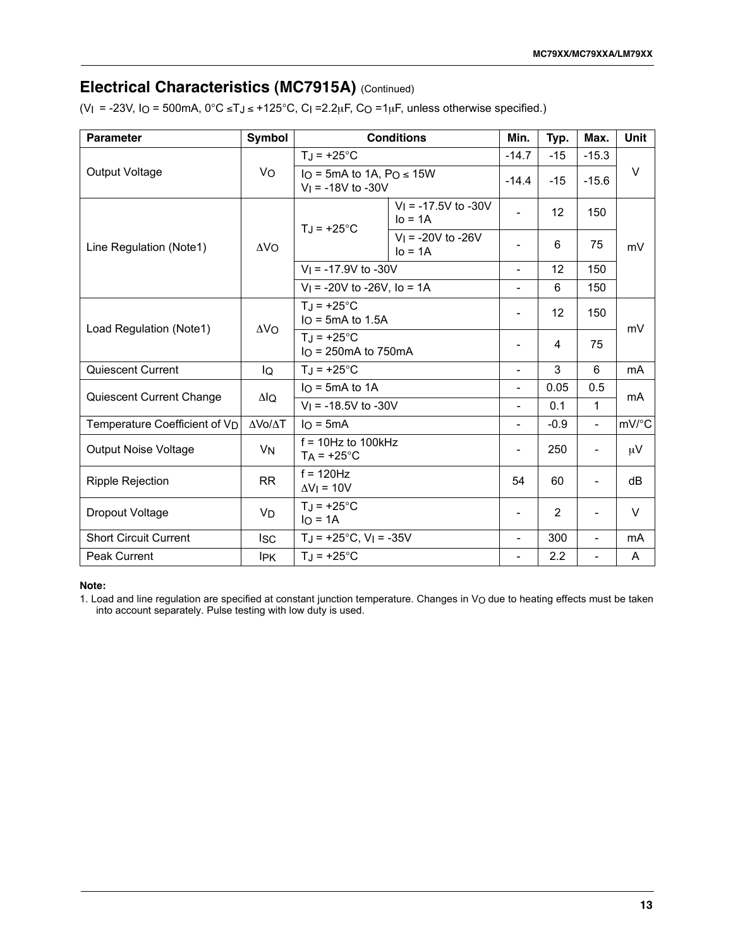### **Electrical Characteristics (MC7915A)** (Continued)

(VI = -23V, IO = 500mA,  $0^{\circ}$ C ≤TJ ≤ +125°C, CI =2.2µF, CO =1µF, unless otherwise specified.)

| <b>Parameter</b>                          | <b>Symbol</b>        | <b>Conditions</b>                                      |                                     | Min.                     | Typ.              | Max.                     | <b>Unit</b>    |
|-------------------------------------------|----------------------|--------------------------------------------------------|-------------------------------------|--------------------------|-------------------|--------------------------|----------------|
| Output Voltage                            | Vo                   | $T_J = +25^{\circ}C$                                   |                                     | $-14.7$                  | $-15$             | $-15.3$                  | V              |
|                                           |                      | Io = 5mA to 1A, $Po \le 15W$<br>$V_1 = -18V$ to $-30V$ |                                     | $-14.4$                  | $-15$             | $-15.6$                  |                |
| Line Regulation (Note1)                   | $\Delta V_O$         | $T_J = +25^{\circ}C$                                   | $V_1$ = -17.5V to -30V<br>$IO = 1A$ | ۰                        | $12 \overline{ }$ | 150                      | mV             |
|                                           |                      |                                                        | $V_1 = -20V$ to $-26V$<br>$IO = 1A$ |                          | 6                 | 75                       |                |
|                                           |                      | $V_1 = -17.9V$ to $-30V$                               |                                     | $\overline{\phantom{0}}$ | 12                | 150                      |                |
|                                           |                      | $V_1$ = -20V to -26V, lo = 1A                          |                                     | $\overline{a}$           | 6                 | 150                      |                |
| Load Regulation (Note1)                   | $\Delta V_O$         | $T_J = +25^{\circ}C$<br>$IO$ = 5mA to 1.5A             |                                     | $\overline{\phantom{0}}$ | $12 \overline{ }$ | 150                      | mV             |
|                                           |                      | $T_J = +25^{\circ}C$<br>$IO$ = 250 mA to 750 mA        |                                     |                          | 4                 | 75                       |                |
| Quiescent Current                         | IQ                   | $T_J = +25$ °C                                         |                                     | -                        | 3                 | 6                        | m <sub>A</sub> |
| Quiescent Current Change                  | $\Delta I_Q$         | $IO$ = 5mA to 1A                                       |                                     | -                        | 0.05              | 0.5                      | mA             |
|                                           |                      | $V_1$ = -18.5V to -30V                                 |                                     | L,                       | 0.1               | 1                        |                |
| Temperature Coefficient of V <sub>D</sub> | ΔVο/ΔΤ               | $I \cap = 5mA$                                         |                                     | $\overline{\phantom{0}}$ | $-0.9$            | $\blacksquare$           | mV/°C          |
| <b>Output Noise Voltage</b>               | <b>V<sub>N</sub></b> | $f = 10$ Hz to 100kHz<br>$T_A = +25^{\circ}C$          |                                     | $\overline{a}$           | 250               | ٠                        | μV             |
| <b>Ripple Rejection</b>                   | <b>RR</b>            | $f = 120$ Hz<br>$\Delta V$ = 10V                       |                                     | 54                       | 60                |                          | dB             |
| Dropout Voltage                           | V <sub>D</sub>       | $T_J = +25$ °C<br>$IO = 1A$                            |                                     | -                        | 2                 | $\overline{\phantom{a}}$ | V              |
| <b>Short Circuit Current</b>              | <b>ISC</b>           | $T_J = +25$ °C, V <sub>I</sub> = -35V                  |                                     | $\overline{\phantom{0}}$ | 300               | $\overline{\phantom{a}}$ | m <sub>A</sub> |
| <b>Peak Current</b>                       | <b>IPK</b>           | $T_J = +25^{\circ}C$                                   |                                     |                          | 2.2               |                          | A              |

#### **Note:**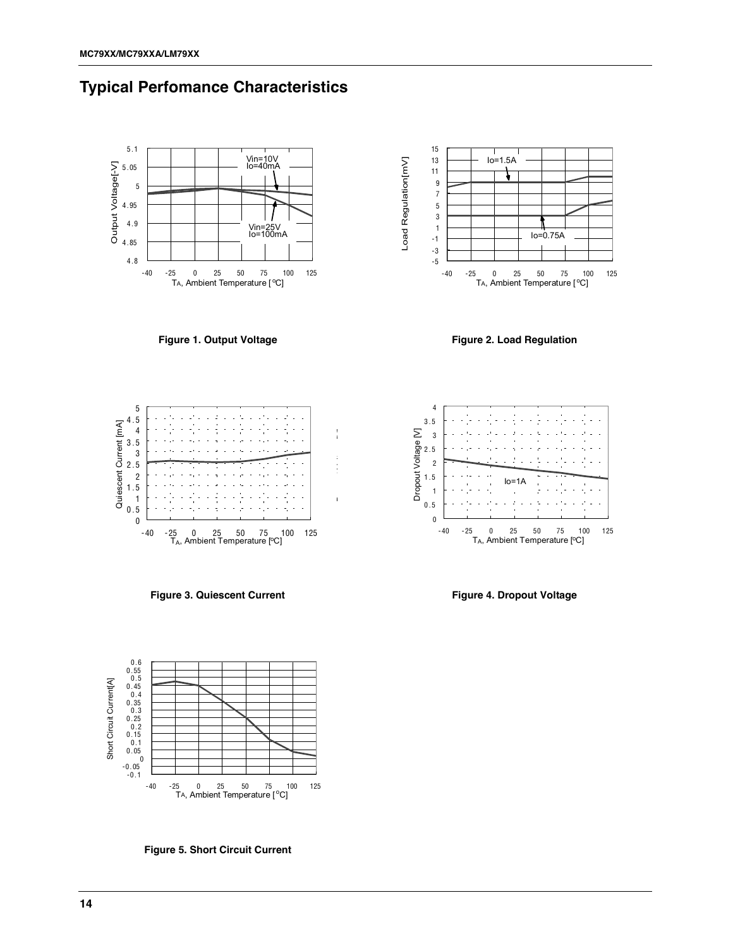



**Figure 1. Output Voltage**



**Figure 2. Load Regulation**



**Figure 3. Quiescent Current**



**Figure 4. Dropout Voltage**



**Figure 5. Short Circuit Current**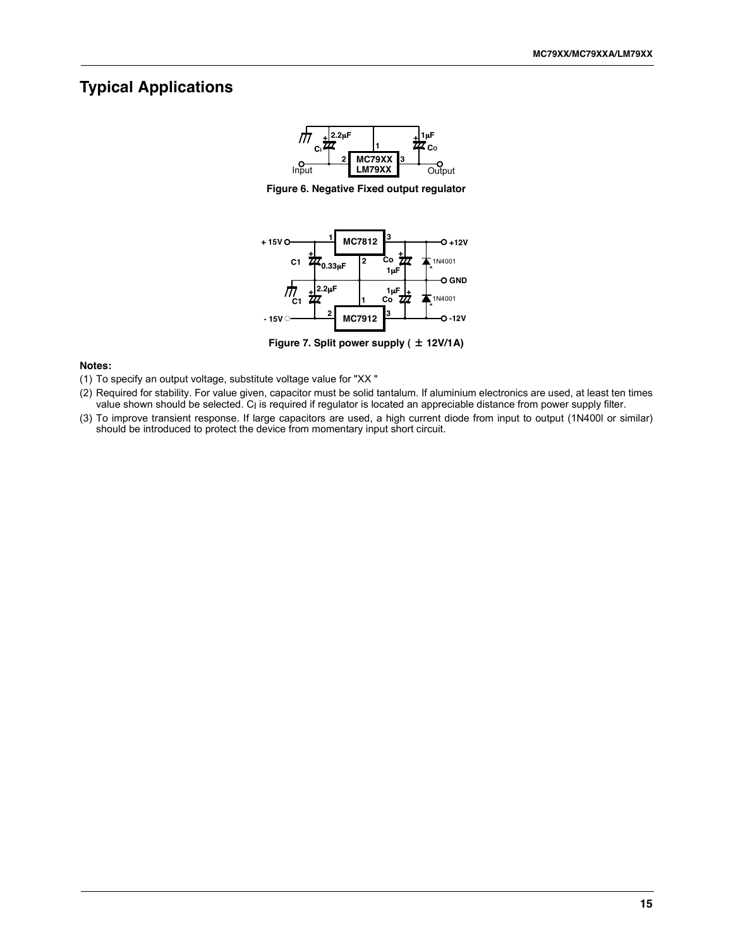### **Typical Applications**



**Figure 6. Negative Fixed output regulator**



**Figure 7. Split power supply ( 12V/1A)**

#### **Notes:**

- (1) To specify an output voltage, substitute voltage value for "XX "
- (2) Required for stability. For value given, capacitor must be solid tantalum. If aluminium electronics are used, at least ten times value shown should be selected. CI is required if regulator is located an appreciable distance from power supply filter.
- (3) To improve transient response. If large capacitors are used, a high current diode from input to output (1N400l or similar) should be introduced to protect the device from momentary input short circuit.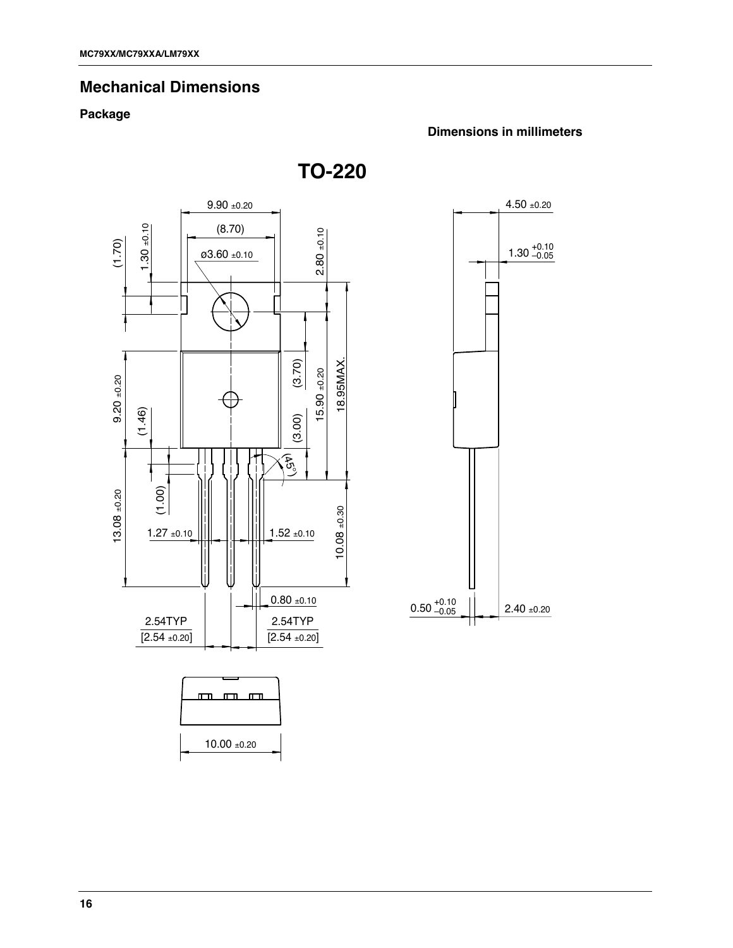### **Mechanical Dimensions**

### **Package**

#### **Dimensions in millimeters**

**TO-220**



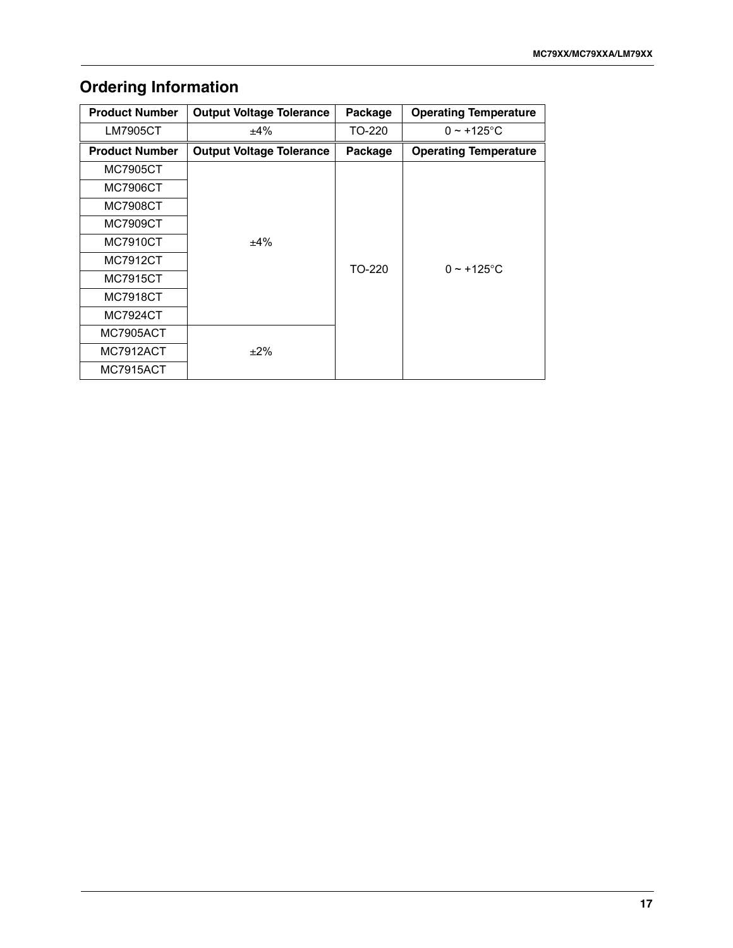## **Ordering Information**

| <b>Product Number</b> | <b>Output Voltage Tolerance</b> | Package | <b>Operating Temperature</b> |  |
|-----------------------|---------------------------------|---------|------------------------------|--|
| LM7905CT              | $+4\%$                          | TO-220  | $0 \sim +125$ °C             |  |
| <b>Product Number</b> | <b>Output Voltage Tolerance</b> | Package | <b>Operating Temperature</b> |  |
| <b>MC7905CT</b>       |                                 |         |                              |  |
| MC7906CT              |                                 |         |                              |  |
| MC7908CT              |                                 |         |                              |  |
| MC7909CT              |                                 |         |                              |  |
| MC7910CT              | $+4\%$                          |         |                              |  |
| MC7912CT              |                                 | TO-220  | $0 \sim +125$ °C             |  |
| MC7915CT              |                                 |         |                              |  |
| MC7918CT              |                                 |         |                              |  |
| MC7924CT              |                                 |         |                              |  |
| <b>MC7905ACT</b>      |                                 |         |                              |  |
| MC7912ACT             | $+2\%$                          |         |                              |  |
| MC7915ACT             |                                 |         |                              |  |